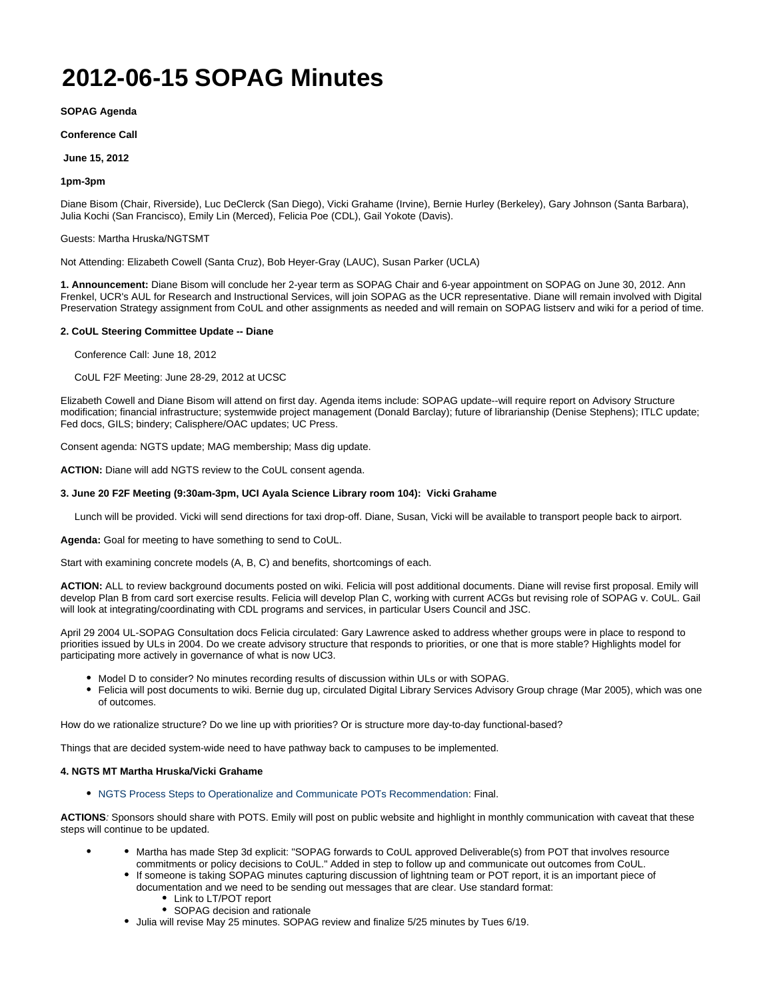# **2012-06-15 SOPAG Minutes**

**SOPAG Agenda**

**Conference Call**

**June 15, 2012**

### **1pm-3pm**

Diane Bisom (Chair, Riverside), Luc DeClerck (San Diego), Vicki Grahame (Irvine), Bernie Hurley (Berkeley), Gary Johnson (Santa Barbara), Julia Kochi (San Francisco), Emily Lin (Merced), Felicia Poe (CDL), Gail Yokote (Davis).

Guests: Martha Hruska/NGTSMT

Not Attending: Elizabeth Cowell (Santa Cruz), Bob Heyer-Gray (LAUC), Susan Parker (UCLA)

**1. Announcement:** Diane Bisom will conclude her 2-year term as SOPAG Chair and 6-year appointment on SOPAG on June 30, 2012. Ann Frenkel, UCR's AUL for Research and Instructional Services, will join SOPAG as the UCR representative. Diane will remain involved with Digital Preservation Strategy assignment from CoUL and other assignments as needed and will remain on SOPAG listserv and wiki for a period of time.

## **2. CoUL Steering Committee Update -- Diane**

Conference Call: June 18, 2012

CoUL F2F Meeting: June 28-29, 2012 at UCSC

Elizabeth Cowell and Diane Bisom will attend on first day. Agenda items include: SOPAG update--will require report on Advisory Structure modification; financial infrastructure; systemwide project management (Donald Barclay); future of librarianship (Denise Stephens); ITLC update; Fed docs, GILS; bindery; Calisphere/OAC updates; UC Press.

Consent agenda: NGTS update; MAG membership; Mass dig update.

**ACTION:** Diane will add NGTS review to the CoUL consent agenda.

### **3. June 20 F2F Meeting (9:30am-3pm, UCI Ayala Science Library room 104): Vicki Grahame**

Lunch will be provided. Vicki will send directions for taxi drop-off. Diane, Susan, Vicki will be available to transport people back to airport.

**Agenda:** Goal for meeting to have something to send to CoUL.

Start with examining concrete models (A, B, C) and benefits, shortcomings of each.

**ACTION:** ALL to review background documents posted on wiki. Felicia will post additional documents. Diane will revise first proposal. Emily will develop Plan B from card sort exercise results. Felicia will develop Plan C, working with current ACGs but revising role of SOPAG v. CoUL. Gail will look at integrating/coordinating with CDL programs and services, in particular Users Council and JSC.

April 29 2004 UL-SOPAG Consultation docs Felicia circulated: Gary Lawrence asked to address whether groups were in place to respond to priorities issued by ULs in 2004. Do we create advisory structure that responds to priorities, or one that is more stable? Highlights model for participating more actively in governance of what is now UC3.

- $\bullet$  Model D to consider? No minutes recording results of discussion within ULs or with SOPAG.
- Felicia will post documents to wiki. Bernie dug up, circulated Digital Library Services Advisory Group chrage (Mar 2005), which was one of outcomes.

How do we rationalize structure? Do we line up with priorities? Or is structure more day-to-day functional-based?

Things that are decided system-wide need to have pathway back to campuses to be implemented.

## **4. NGTS MT Martha Hruska/Vicki Grahame**

NGTS Process Steps to Operationalize and Communicate POTs Recommendation: Final.

**ACTIONS**: Sponsors should share with POTS. Emily will post on public website and highlight in monthly communication with caveat that these steps will continue to be updated.

- Martha has made Step 3d explicit: "SOPAG forwards to CoUL approved Deliverable(s) from POT that involves resource commitments or policy decisions to CoUL." Added in step to follow up and communicate out outcomes from CoUL.
	- If someone is taking SOPAG minutes capturing discussion of lightning team or POT report, it is an important piece of documentation and we need to be sending out messages that are clear. Use standard format:
		- Link to LT/POT report
		- SOPAG decision and rationale
	- Julia will revise May 25 minutes. SOPAG review and finalize 5/25 minutes by Tues 6/19.